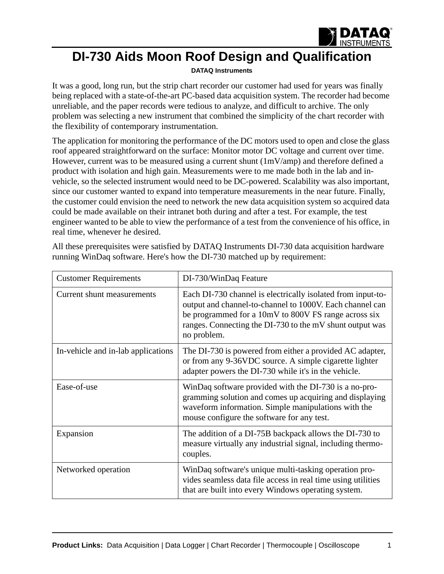

## **DI-730 Aids Moon Roof Design and Qualification**

## **[DATAQ Instruments](http://www.dataq.com)**

It was a good, long run, but the strip chart recorder our customer had used for years was finally being replaced with a state-of-the-art PC-based data acquisition system. The recorder had become unreliable, and the paper records were tedious to analyze, and difficult to archive. The only problem was selecting a new instrument that combined the simplicity of the chart recorder with the flexibility of contemporary instrumentation.

The application for monitoring the performance of the DC motors used to open and close the glass roof appeared straightforward on the surface: Monitor motor DC voltage and current over time. However, current was to be measured using a current shunt (1mV/amp) and therefore defined a product with isolation and high gain. Measurements were to me made both in the lab and invehicle, so the selected instrument would need to be DC-powered. Scalability was also important, since our customer wanted to expand into temperature measurements in the near future. Finally, the customer could envision the need to network the new data acquisition system so acquired data could be made available on their intranet both during and after a test. For example, the test engineer wanted to be able to view the performance of a test from the convenience of his office, in real time, whenever he desired.

| <b>Customer Requirements</b>       | DI-730/WinDaq Feature                                                                                                                                                                                                                                      |
|------------------------------------|------------------------------------------------------------------------------------------------------------------------------------------------------------------------------------------------------------------------------------------------------------|
| Current shunt measurements         | Each DI-730 channel is electrically isolated from input-to-<br>output and channel-to-channel to 1000V. Each channel can<br>be programmed for a 10mV to 800V FS range across six<br>ranges. Connecting the DI-730 to the mV shunt output was<br>no problem. |
| In-vehicle and in-lab applications | The DI-730 is powered from either a provided AC adapter,<br>or from any 9-36VDC source. A simple cigarette lighter<br>adapter powers the DI-730 while it's in the vehicle.                                                                                 |
| Ease-of-use                        | WinDaq software provided with the DI-730 is a no-pro-<br>gramming solution and comes up acquiring and displaying<br>waveform information. Simple manipulations with the<br>mouse configure the software for any test.                                      |
| Expansion                          | The addition of a DI-75B backpack allows the DI-730 to<br>measure virtually any industrial signal, including thermo-<br>couples.                                                                                                                           |
| Networked operation                | WinDaq software's unique multi-tasking operation pro-<br>vides seamless data file access in real time using utilities<br>that are built into every Windows operating system.                                                                               |

All these prerequisites were satisfied by DATAQ Instruments DI-730 data acquisition hardware running WinDaq software. Here's how the DI-730 matched up by requirement: